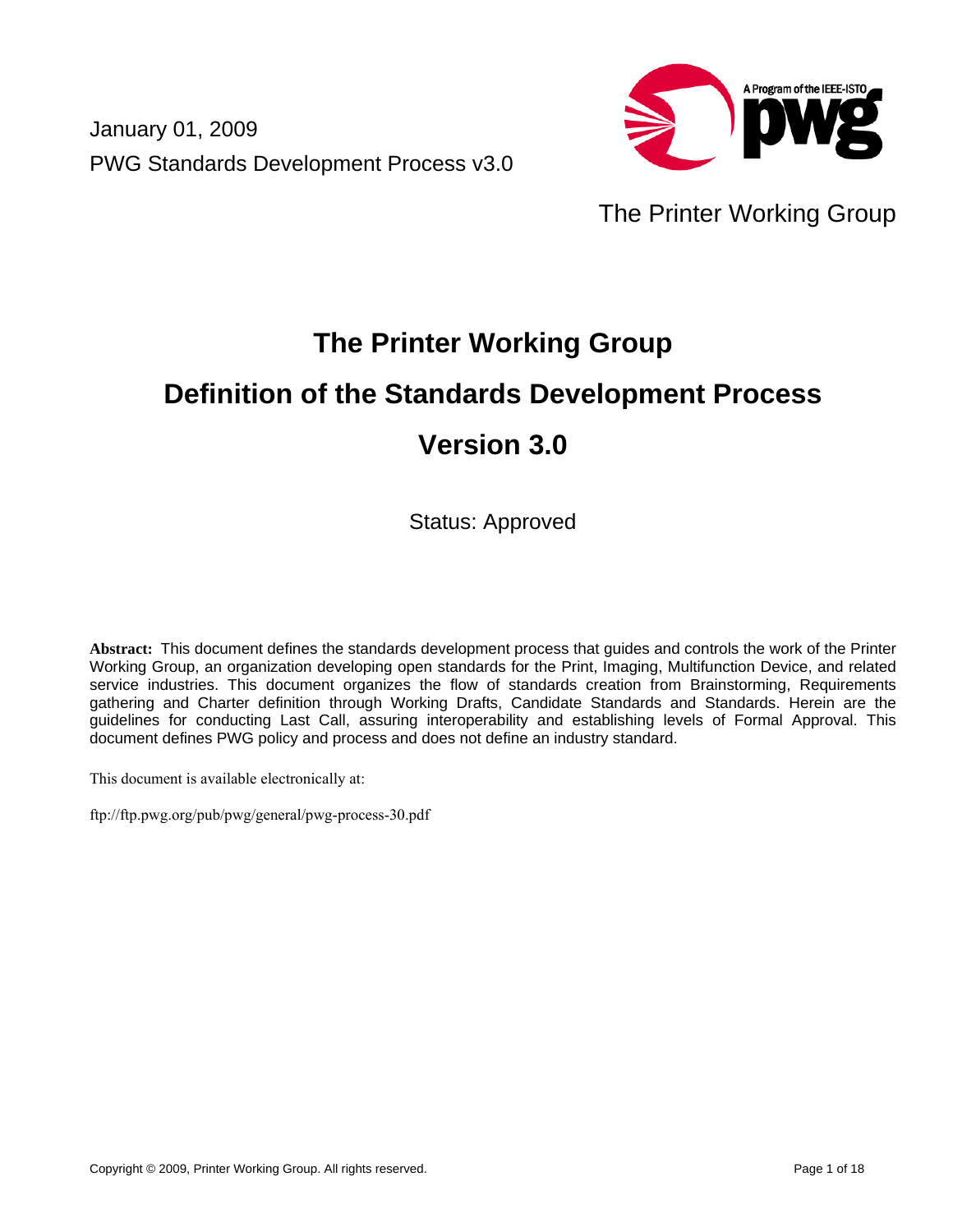January 01, 2009 PWG Standards Development Process v3.0



# The Printer Working Group

# **The Printer Working Group Definition of the Standards Development Process**

# **Version 3.0**

Status: Approved

**Abstract:** This document defines the standards development process that guides and controls the work of the Printer Working Group, an organization developing open standards for the Print, Imaging, Multifunction Device, and related service industries. This document organizes the flow of standards creation from Brainstorming, Requirements gathering and Charter definition through Working Drafts, Candidate Standards and Standards. Herein are the guidelines for conducting Last Call, assuring interoperability and establishing levels of Formal Approval. This document defines PWG policy and process and does not define an industry standard.

This document is available electronically at:

ftp://ftp.pwg.org/pub/pwg/general/pwg-process-30.pdf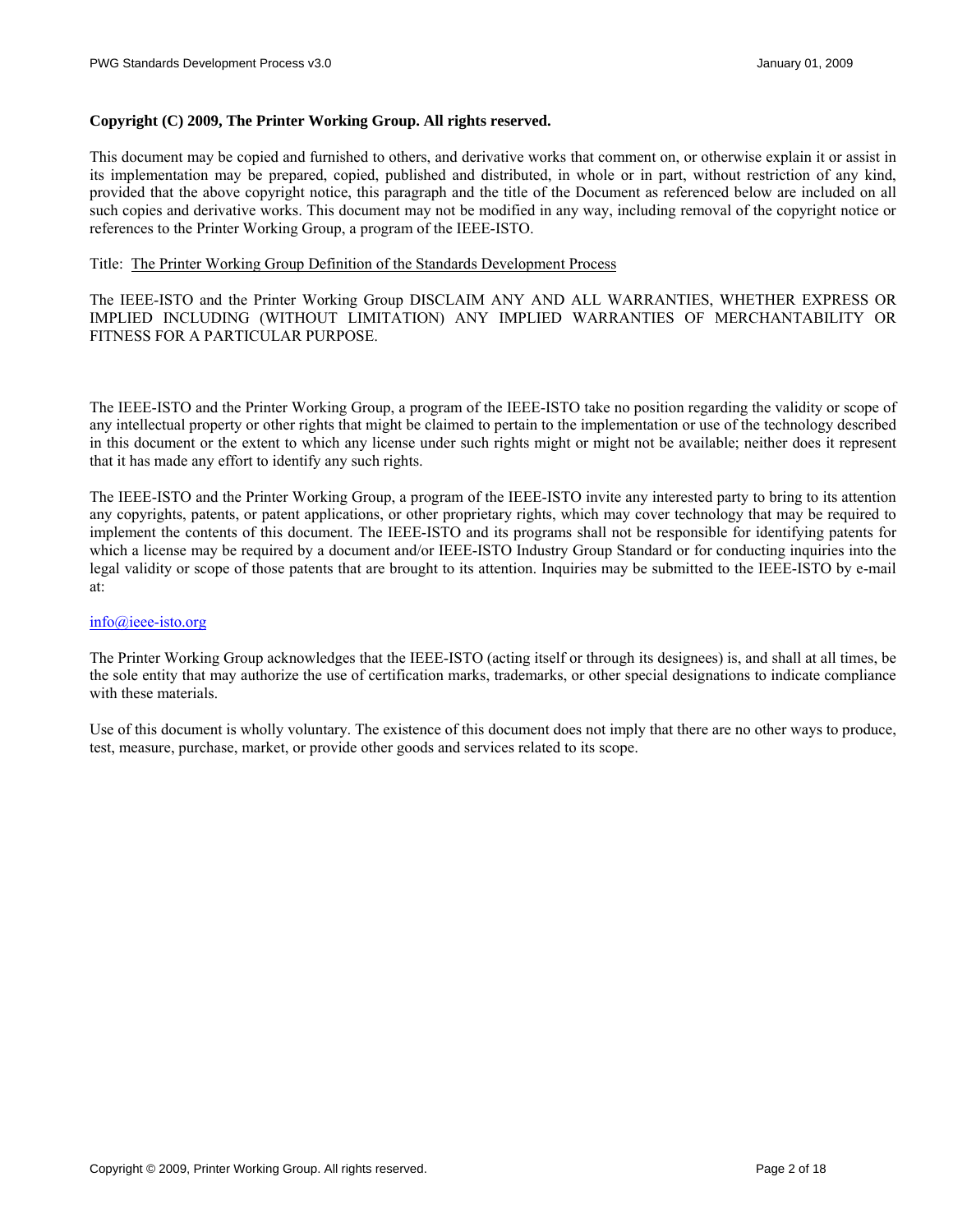#### **Copyright (C) 2009, The Printer Working Group. All rights reserved.**

This document may be copied and furnished to others, and derivative works that comment on, or otherwise explain it or assist in its implementation may be prepared, copied, published and distributed, in whole or in part, without restriction of any kind, provided that the above copyright notice, this paragraph and the title of the Document as referenced below are included on all such copies and derivative works. This document may not be modified in any way, including removal of the copyright notice or references to the Printer Working Group, a program of the IEEE-ISTO.

#### Title: The Printer Working Group Definition of the Standards Development Process

The IEEE-ISTO and the Printer Working Group DISCLAIM ANY AND ALL WARRANTIES, WHETHER EXPRESS OR IMPLIED INCLUDING (WITHOUT LIMITATION) ANY IMPLIED WARRANTIES OF MERCHANTABILITY OR FITNESS FOR A PARTICULAR PURPOSE.

The IEEE-ISTO and the Printer Working Group, a program of the IEEE-ISTO take no position regarding the validity or scope of any intellectual property or other rights that might be claimed to pertain to the implementation or use of the technology described in this document or the extent to which any license under such rights might or might not be available; neither does it represent that it has made any effort to identify any such rights.

The IEEE-ISTO and the Printer Working Group, a program of the IEEE-ISTO invite any interested party to bring to its attention any copyrights, patents, or patent applications, or other proprietary rights, which may cover technology that may be required to implement the contents of this document. The IEEE-ISTO and its programs shall not be responsible for identifying patents for which a license may be required by a document and/or IEEE-ISTO Industry Group Standard or for conducting inquiries into the legal validity or scope of those patents that are brought to its attention. Inquiries may be submitted to the IEEE-ISTO by e-mail at:

#### [info@ieee-isto.org](mailto:info@ieee-isto.org)

The Printer Working Group acknowledges that the IEEE-ISTO (acting itself or through its designees) is, and shall at all times, be the sole entity that may authorize the use of certification marks, trademarks, or other special designations to indicate compliance with these materials.

Use of this document is wholly voluntary. The existence of this document does not imply that there are no other ways to produce, test, measure, purchase, market, or provide other goods and services related to its scope.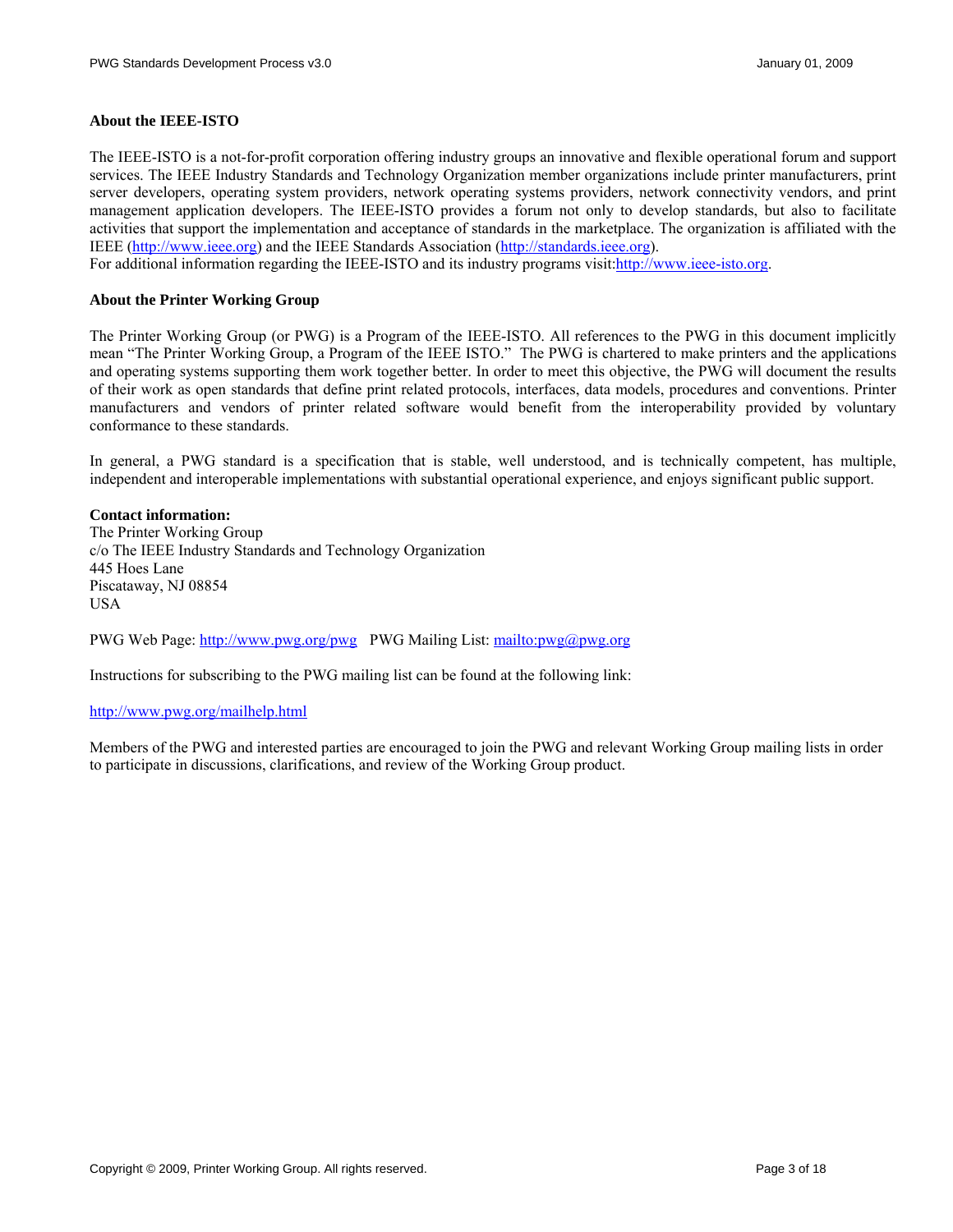#### **About the IEEE-ISTO**

The IEEE-ISTO is a not-for-profit corporation offering industry groups an innovative and flexible operational forum and support services. The IEEE Industry Standards and Technology Organization member organizations include printer manufacturers, print server developers, operating system providers, network operating systems providers, network connectivity vendors, and print management application developers. The IEEE-ISTO provides a forum not only to develop standards, but also to facilitate activities that support the implementation and acceptance of standards in the marketplace. The organization is affiliated with the IEEE [\(http://www.ieee.org](http://www.ieee.org/)) and the IEEE Standards Association ([http://standards.ieee.org\)](http://standards.ieee.org/).

For additional information regarding the IEEE-ISTO and its industry programs visit:[http://www.ieee-isto.org.](http://www.ieee-isto.org/)

#### **About the Printer Working Group**

The Printer Working Group (or PWG) is a Program of the IEEE-ISTO. All references to the PWG in this document implicitly mean "The Printer Working Group, a Program of the IEEE ISTO." The PWG is chartered to make printers and the applications and operating systems supporting them work together better. In order to meet this objective, the PWG will document the results of their work as open standards that define print related protocols, interfaces, data models, procedures and conventions. Printer manufacturers and vendors of printer related software would benefit from the interoperability provided by voluntary conformance to these standards.

In general, a PWG standard is a specification that is stable, well understood, and is technically competent, has multiple, independent and interoperable implementations with substantial operational experience, and enjoys significant public support.

#### **Contact information:**

The Printer Working Group c/o The IEEE Industry Standards and Technology Organization 445 Hoes Lane Piscataway, NJ 08854 USA

PWG Web Page:<http://www.pwg.org/pwg> PWG Mailing List:<mailto:pwg@pwg.org>

Instructions for subscribing to the PWG mailing list can be found at the following link:

#### <http://www.pwg.org/mailhelp.html>

Members of the PWG and interested parties are encouraged to join the PWG and relevant Working Group mailing lists in order to participate in discussions, clarifications, and review of the Working Group product.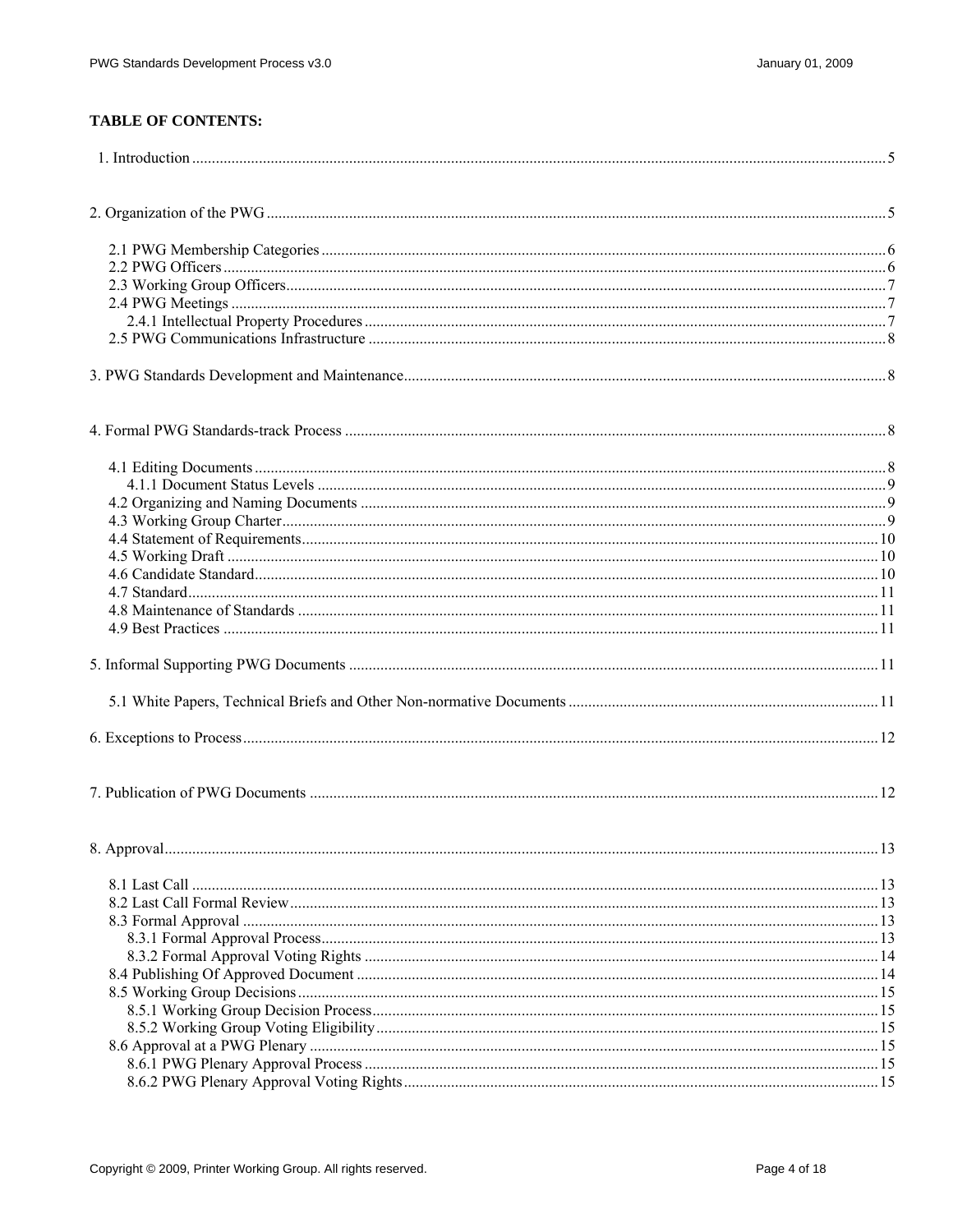# **TABLE OF CONTENTS:**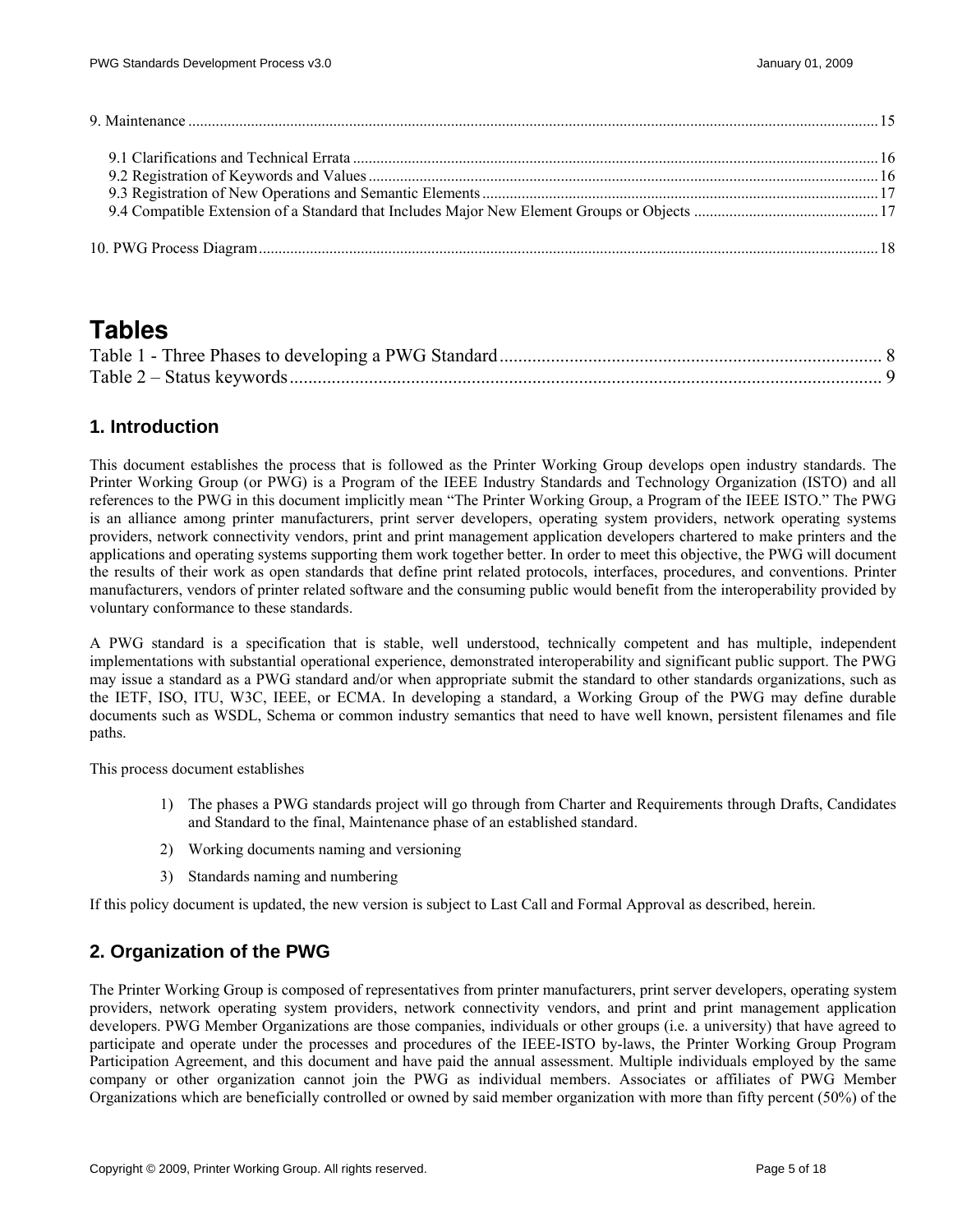<span id="page-4-0"></span>

# **Tables**

# **1. Introduction**

This document establishes the process that is followed as the Printer Working Group develops open industry standards. The Printer Working Group (or PWG) is a Program of the IEEE Industry Standards and Technology Organization (ISTO) and all references to the PWG in this document implicitly mean "The Printer Working Group, a Program of the IEEE ISTO." The PWG is an alliance among printer manufacturers, print server developers, operating system providers, network operating systems providers, network connectivity vendors, print and print management application developers chartered to make printers and the applications and operating systems supporting them work together better. In order to meet this objective, the PWG will document the results of their work as open standards that define print related protocols, interfaces, procedures, and conventions. Printer manufacturers, vendors of printer related software and the consuming public would benefit from the interoperability provided by voluntary conformance to these standards.

A PWG standard is a specification that is stable, well understood, technically competent and has multiple, independent implementations with substantial operational experience, demonstrated interoperability and significant public support. The PWG may issue a standard as a PWG standard and/or when appropriate submit the standard to other standards organizations, such as the IETF, ISO, ITU, W3C, IEEE, or ECMA. In developing a standard, a Working Group of the PWG may define durable documents such as WSDL, Schema or common industry semantics that need to have well known, persistent filenames and file paths.

This process document establishes

- 1) The phases a PWG standards project will go through from Charter and Requirements through Drafts, Candidates and Standard to the final, Maintenance phase of an established standard.
- 2) Working documents naming and versioning
- 3) Standards naming and numbering

If this policy document is updated, the new version is subject to Last Call and Formal Approval as described, herein.

# **2. Organization of the PWG**

The Printer Working Group is composed of representatives from printer manufacturers, print server developers, operating system providers, network operating system providers, network connectivity vendors, and print and print management application developers. PWG Member Organizations are those companies, individuals or other groups (i.e. a university) that have agreed to participate and operate under the processes and procedures of the IEEE-ISTO by-laws, the Printer Working Group Program Participation Agreement, and this document and have paid the annual assessment. Multiple individuals employed by the same company or other organization cannot join the PWG as individual members. Associates or affiliates of PWG Member Organizations which are beneficially controlled or owned by said member organization with more than fifty percent (50%) of the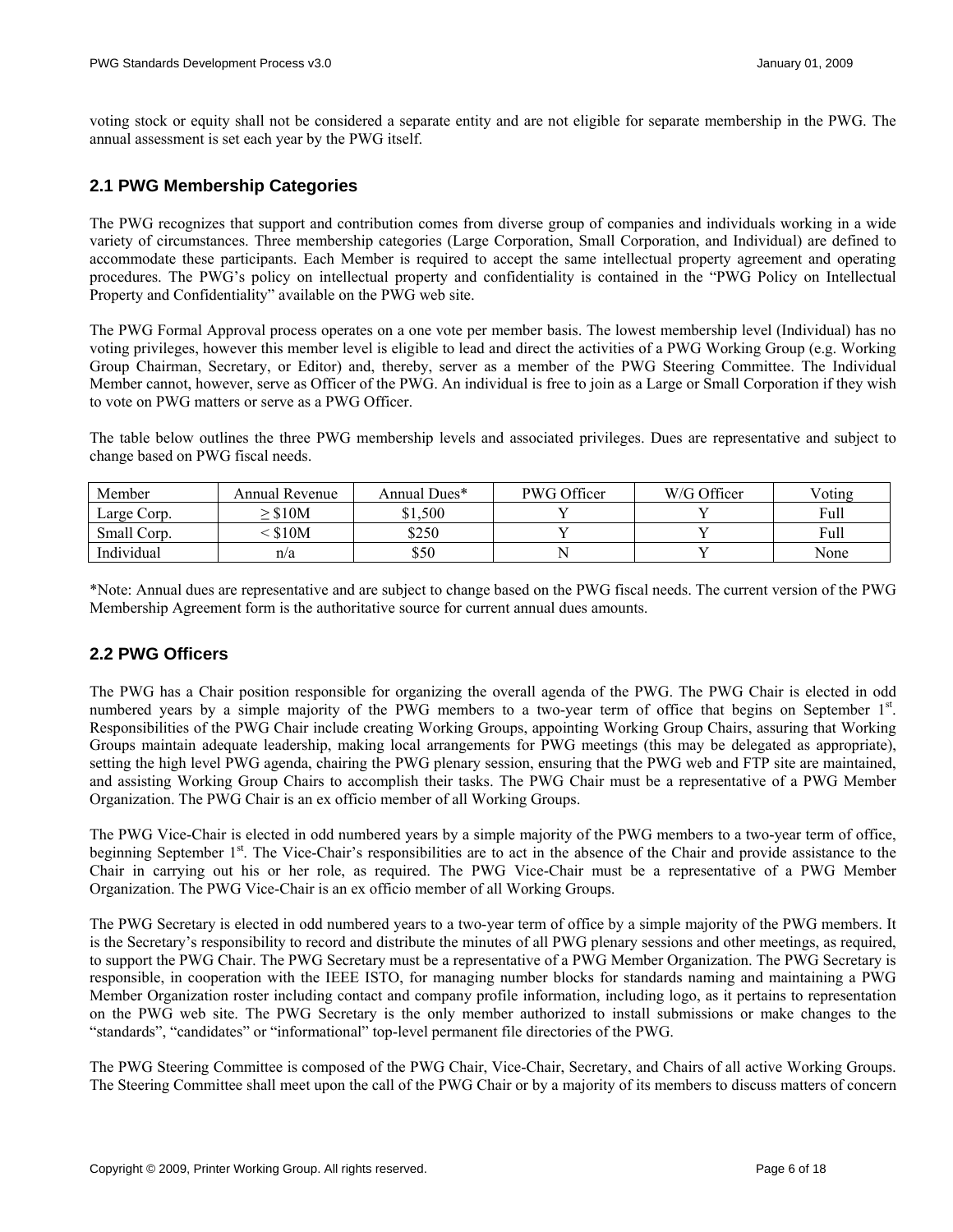<span id="page-5-0"></span>voting stock or equity shall not be considered a separate entity and are not eligible for separate membership in the PWG. The annual assessment is set each year by the PWG itself.

# **2.1 PWG Membership Categories**

The PWG recognizes that support and contribution comes from diverse group of companies and individuals working in a wide variety of circumstances. Three membership categories (Large Corporation, Small Corporation, and Individual) are defined to accommodate these participants. Each Member is required to accept the same intellectual property agreement and operating procedures. The PWG's policy on intellectual property and confidentiality is contained in the "PWG Policy on Intellectual Property and Confidentiality" available on the PWG web site.

The PWG Formal Approval process operates on a one vote per member basis. The lowest membership level (Individual) has no voting privileges, however this member level is eligible to lead and direct the activities of a PWG Working Group (e.g. Working Group Chairman, Secretary, or Editor) and, thereby, server as a member of the PWG Steering Committee. The Individual Member cannot, however, serve as Officer of the PWG. An individual is free to join as a Large or Small Corporation if they wish to vote on PWG matters or serve as a PWG Officer.

The table below outlines the three PWG membership levels and associated privileges. Dues are representative and subject to change based on PWG fiscal needs.

| Member      | Annual Revenue | Annual Dues* | PWG Officer | W/G Officer | Voting |
|-------------|----------------|--------------|-------------|-------------|--------|
| Large Corp. | \$10M          | \$1.500      |             |             | Full   |
| Small Corp. | \$10M          | \$250        |             |             | Full   |
| Individual  | n/a            | \$50         | N           |             | None   |

\*Note: Annual dues are representative and are subject to change based on the PWG fiscal needs. The current version of the PWG Membership Agreement form is the authoritative source for current annual dues amounts.

# **2.2 PWG Officers**

The PWG has a Chair position responsible for organizing the overall agenda of the PWG. The PWG Chair is elected in odd numbered years by a simple majority of the PWG members to a two-year term of office that begins on September 1<sup>st</sup>. Responsibilities of the PWG Chair include creating Working Groups, appointing Working Group Chairs, assuring that Working Groups maintain adequate leadership, making local arrangements for PWG meetings (this may be delegated as appropriate), setting the high level PWG agenda, chairing the PWG plenary session, ensuring that the PWG web and FTP site are maintained, and assisting Working Group Chairs to accomplish their tasks. The PWG Chair must be a representative of a PWG Member Organization. The PWG Chair is an ex officio member of all Working Groups.

The PWG Vice-Chair is elected in odd numbered years by a simple majority of the PWG members to a two-year term of office, beginning September 1<sup>st</sup>. The Vice-Chair's responsibilities are to act in the absence of the Chair and provide assistance to the Chair in carrying out his or her role, as required. The PWG Vice-Chair must be a representative of a PWG Member Organization. The PWG Vice-Chair is an ex officio member of all Working Groups.

The PWG Secretary is elected in odd numbered years to a two-year term of office by a simple majority of the PWG members. It is the Secretary's responsibility to record and distribute the minutes of all PWG plenary sessions and other meetings, as required, to support the PWG Chair. The PWG Secretary must be a representative of a PWG Member Organization. The PWG Secretary is responsible, in cooperation with the IEEE ISTO, for managing number blocks for standards naming and maintaining a PWG Member Organization roster including contact and company profile information, including logo, as it pertains to representation on the PWG web site. The PWG Secretary is the only member authorized to install submissions or make changes to the "standards", "candidates" or "informational" top-level permanent file directories of the PWG.

The PWG Steering Committee is composed of the PWG Chair, Vice-Chair, Secretary, and Chairs of all active Working Groups. The Steering Committee shall meet upon the call of the PWG Chair or by a majority of its members to discuss matters of concern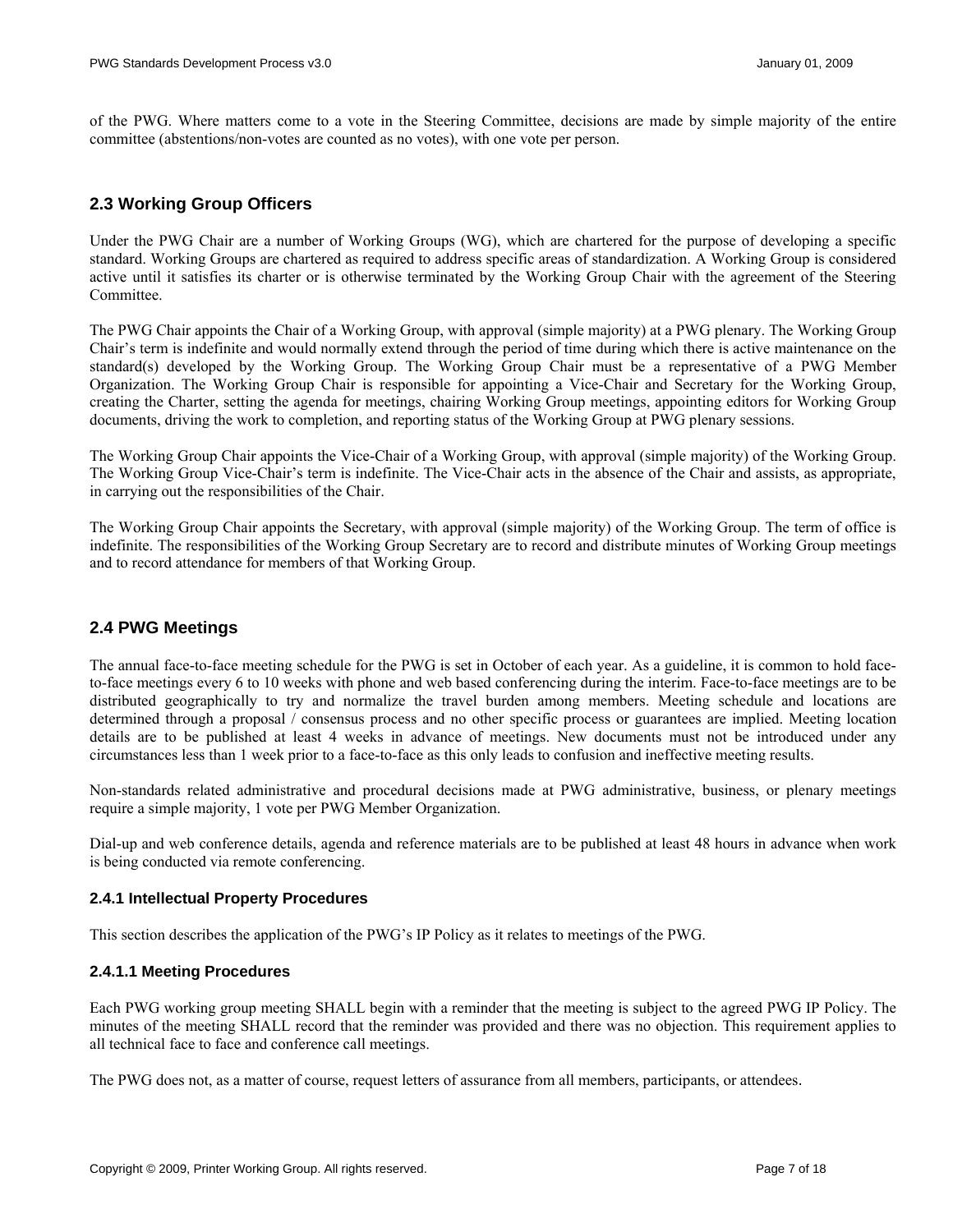<span id="page-6-0"></span>of the PWG. Where matters come to a vote in the Steering Committee, decisions are made by simple majority of the entire committee (abstentions/non-votes are counted as no votes), with one vote per person.

#### **2.3 Working Group Officers**

Under the PWG Chair are a number of Working Groups (WG), which are chartered for the purpose of developing a specific standard. Working Groups are chartered as required to address specific areas of standardization. A Working Group is considered active until it satisfies its charter or is otherwise terminated by the Working Group Chair with the agreement of the Steering Committee.

The PWG Chair appoints the Chair of a Working Group, with approval (simple majority) at a PWG plenary. The Working Group Chair's term is indefinite and would normally extend through the period of time during which there is active maintenance on the standard(s) developed by the Working Group. The Working Group Chair must be a representative of a PWG Member Organization. The Working Group Chair is responsible for appointing a Vice-Chair and Secretary for the Working Group, creating the Charter, setting the agenda for meetings, chairing Working Group meetings, appointing editors for Working Group documents, driving the work to completion, and reporting status of the Working Group at PWG plenary sessions.

The Working Group Chair appoints the Vice-Chair of a Working Group, with approval (simple majority) of the Working Group. The Working Group Vice-Chair's term is indefinite. The Vice-Chair acts in the absence of the Chair and assists, as appropriate, in carrying out the responsibilities of the Chair.

The Working Group Chair appoints the Secretary, with approval (simple majority) of the Working Group. The term of office is indefinite. The responsibilities of the Working Group Secretary are to record and distribute minutes of Working Group meetings and to record attendance for members of that Working Group.

# **2.4 PWG Meetings**

The annual face-to-face meeting schedule for the PWG is set in October of each year. As a guideline, it is common to hold faceto-face meetings every 6 to 10 weeks with phone and web based conferencing during the interim. Face-to-face meetings are to be distributed geographically to try and normalize the travel burden among members. Meeting schedule and locations are determined through a proposal / consensus process and no other specific process or guarantees are implied. Meeting location details are to be published at least 4 weeks in advance of meetings. New documents must not be introduced under any circumstances less than 1 week prior to a face-to-face as this only leads to confusion and ineffective meeting results.

Non-standards related administrative and procedural decisions made at PWG administrative, business, or plenary meetings require a simple majority, 1 vote per PWG Member Organization.

Dial-up and web conference details, agenda and reference materials are to be published at least 48 hours in advance when work is being conducted via remote conferencing.

#### **2.4.1 Intellectual Property Procedures**

This section describes the application of the PWG's IP Policy as it relates to meetings of the PWG.

#### **2.4.1.1 Meeting Procedures**

Each PWG working group meeting SHALL begin with a reminder that the meeting is subject to the agreed PWG IP Policy. The minutes of the meeting SHALL record that the reminder was provided and there was no objection. This requirement applies to all technical face to face and conference call meetings.

The PWG does not, as a matter of course, request letters of assurance from all members, participants, or attendees.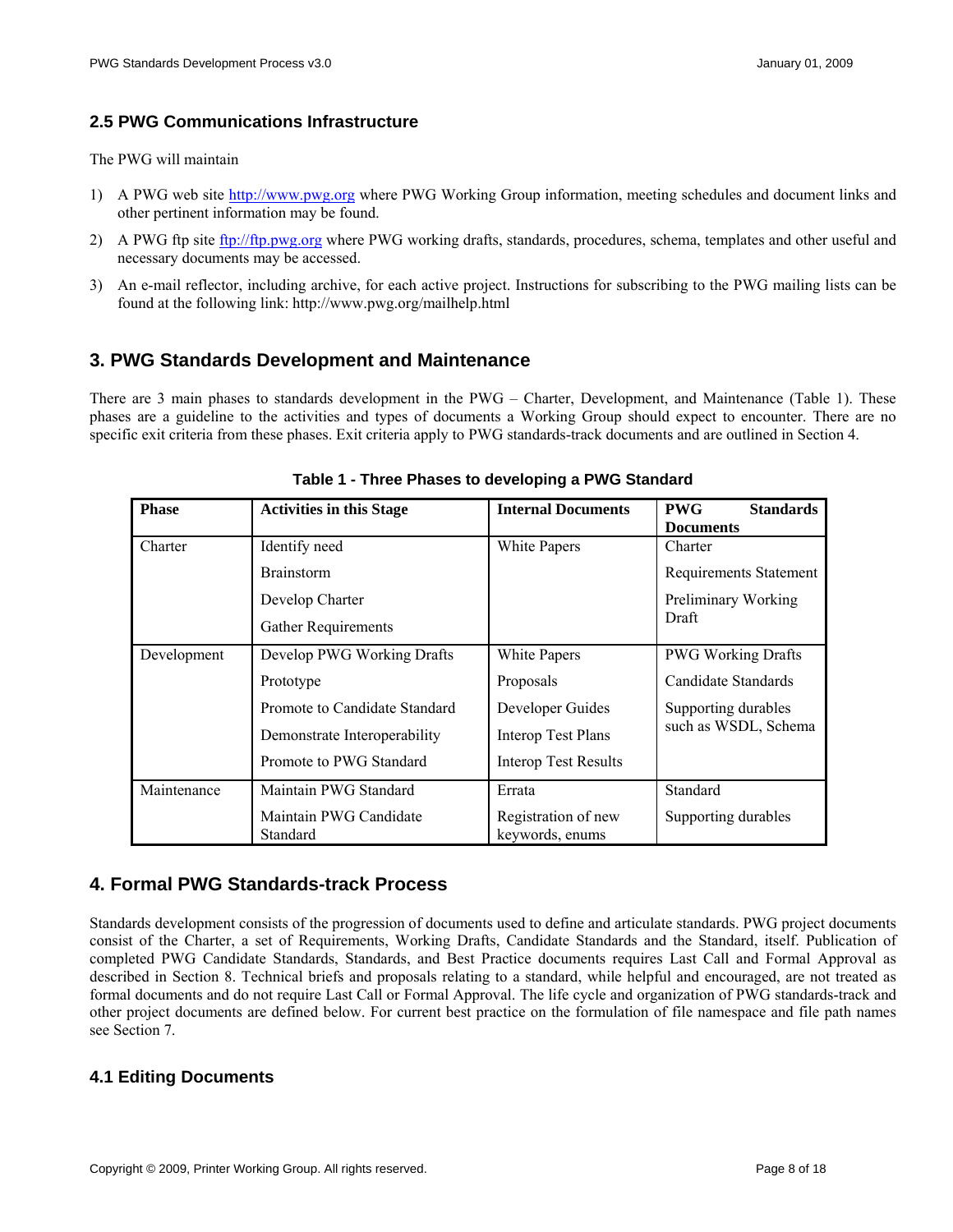### <span id="page-7-0"></span>**2.5 PWG Communications Infrastructure**

The PWG will maintain

- 1) A PWG web site [http://www.pwg.org](http://www.pwg.org/) where PWG Working Group information, meeting schedules and document links and other pertinent information may be found.
- 2) A PWG ftp site [ftp://ftp.pwg.org](ftp://ftp.pwg.org/) where PWG working drafts, standards, procedures, schema, templates and other useful and necessary documents may be accessed.
- 3) An e-mail reflector, including archive, for each active project. Instructions for subscribing to the PWG mailing lists can be found at the following link: http://www.pwg.org/mailhelp.html

# **3. PWG Standards Development and Maintenance**

<span id="page-7-1"></span>There are 3 main phases to standards development in the PWG – Charter, Development, and Maintenance ([Table 1](#page-7-1)). These phases are a guideline to the activities and types of documents a Working Group should expect to encounter. There are no specific exit criteria from these phases. Exit criteria apply to PWG standards-track documents and are outlined in Section [4.](#page-7-2)

| <b>Phase</b> | <b>Activities in this Stage</b>    | <b>Internal Documents</b>              | <b>PWG</b><br><b>Standards</b> |  |
|--------------|------------------------------------|----------------------------------------|--------------------------------|--|
|              |                                    |                                        | <b>Documents</b>               |  |
| Charter      | Identify need                      | White Papers                           | Charter                        |  |
|              | <b>Brainstorm</b>                  |                                        | <b>Requirements Statement</b>  |  |
|              | Develop Charter                    |                                        | Preliminary Working            |  |
|              | <b>Gather Requirements</b>         |                                        | Draft                          |  |
| Development  | Develop PWG Working Drafts         | White Papers                           | <b>PWG Working Drafts</b>      |  |
|              | Prototype                          | Proposals                              | Candidate Standards            |  |
|              | Promote to Candidate Standard      | Developer Guides                       | Supporting durables            |  |
|              | Demonstrate Interoperability       | <b>Interop Test Plans</b>              | such as WSDL, Schema           |  |
|              | Promote to PWG Standard            | <b>Interop Test Results</b>            |                                |  |
| Maintenance  | Maintain PWG Standard              | Errata                                 | Standard                       |  |
|              | Maintain PWG Candidate<br>Standard | Registration of new<br>keywords, enums | Supporting durables            |  |

**Table 1 - Three Phases to developing a PWG Standard** 

# <span id="page-7-2"></span>**4. Formal PWG Standards-track Process**

Standards development consists of the progression of documents used to define and articulate standards. PWG project documents consist of the Charter, a set of Requirements, Working Drafts, Candidate Standards and the Standard, itself. Publication of completed PWG Candidate Standards, Standards, and Best Practice documents requires Last Call and Formal Approval as described in Section [8](#page-12-1). Technical briefs and proposals relating to a standard, while helpful and encouraged, are not treated as formal documents and do not require Last Call or Formal Approval. The life cycle and organization of PWG standards-track and other project documents are defined below. For current best practice on the formulation of file namespace and file path names see Section [7](#page-11-1).

# **4.1 Editing Documents**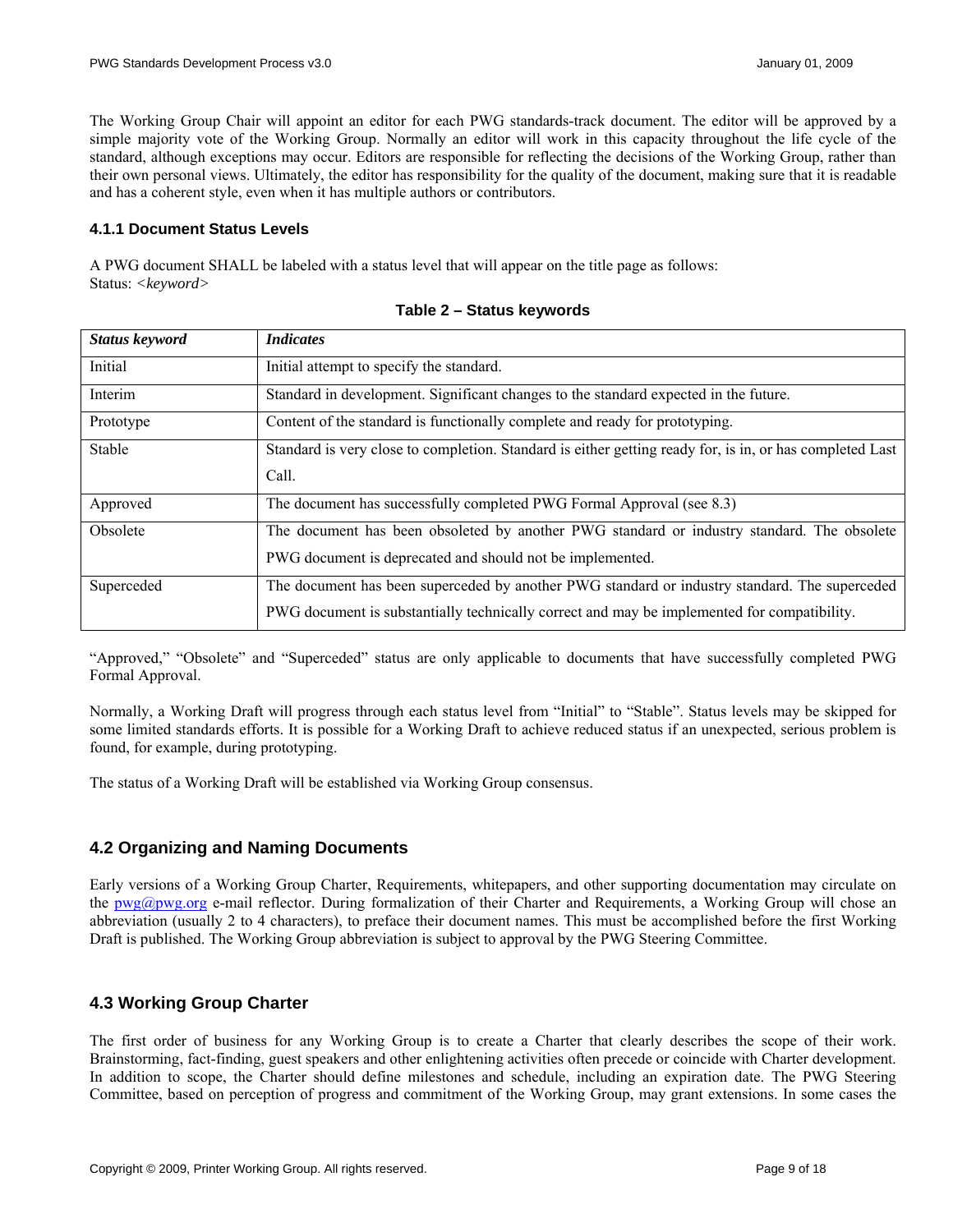<span id="page-8-0"></span>The Working Group Chair will appoint an editor for each PWG standards-track document. The editor will be approved by a simple majority vote of the Working Group. Normally an editor will work in this capacity throughout the life cycle of the standard, although exceptions may occur. Editors are responsible for reflecting the decisions of the Working Group, rather than their own personal views. Ultimately, the editor has responsibility for the quality of the document, making sure that it is readable and has a coherent style, even when it has multiple authors or contributors.

#### **4.1.1 Document Status Levels**

A PWG document SHALL be labeled with a status level that will appear on the title page as follows: Status: *<keyword>*

| <b>Status keyword</b> | <i>Indicates</i>                                                                                                                                                                             |
|-----------------------|----------------------------------------------------------------------------------------------------------------------------------------------------------------------------------------------|
| Initial               | Initial attempt to specify the standard.                                                                                                                                                     |
| Interim               | Standard in development. Significant changes to the standard expected in the future.                                                                                                         |
| Prototype             | Content of the standard is functionally complete and ready for prototyping.                                                                                                                  |
| Stable                | Standard is very close to completion. Standard is either getting ready for, is in, or has completed Last<br>Call.                                                                            |
| Approved              | The document has successfully completed PWG Formal Approval (see 8.3)                                                                                                                        |
| Obsolete              | The document has been obsoleted by another PWG standard or industry standard. The obsolete<br>PWG document is deprecated and should not be implemented.                                      |
| Superceded            | The document has been superceded by another PWG standard or industry standard. The superceded<br>PWG document is substantially technically correct and may be implemented for compatibility. |

|  |  |  | Table 2 – Status keywords |
|--|--|--|---------------------------|
|--|--|--|---------------------------|

"Approved," "Obsolete" and "Superceded" status are only applicable to documents that have successfully completed PWG Formal Approval.

Normally, a Working Draft will progress through each status level from "Initial" to "Stable". Status levels may be skipped for some limited standards efforts. It is possible for a Working Draft to achieve reduced status if an unexpected, serious problem is found, for example, during prototyping.

The status of a Working Draft will be established via Working Group consensus.

# **4.2 Organizing and Naming Documents**

Early versions of a Working Group Charter, Requirements, whitepapers, and other supporting documentation may circulate on the [pwg@pwg.org](mailto:pwg@pwg.org) e-mail reflector. During formalization of their Charter and Requirements, a Working Group will chose an abbreviation (usually 2 to 4 characters), to preface their document names. This must be accomplished before the first Working Draft is published. The Working Group abbreviation is subject to approval by the PWG Steering Committee.

#### **4.3 Working Group Charter**

The first order of business for any Working Group is to create a Charter that clearly describes the scope of their work. Brainstorming, fact-finding, guest speakers and other enlightening activities often precede or coincide with Charter development. In addition to scope, the Charter should define milestones and schedule, including an expiration date. The PWG Steering Committee, based on perception of progress and commitment of the Working Group, may grant extensions. In some cases the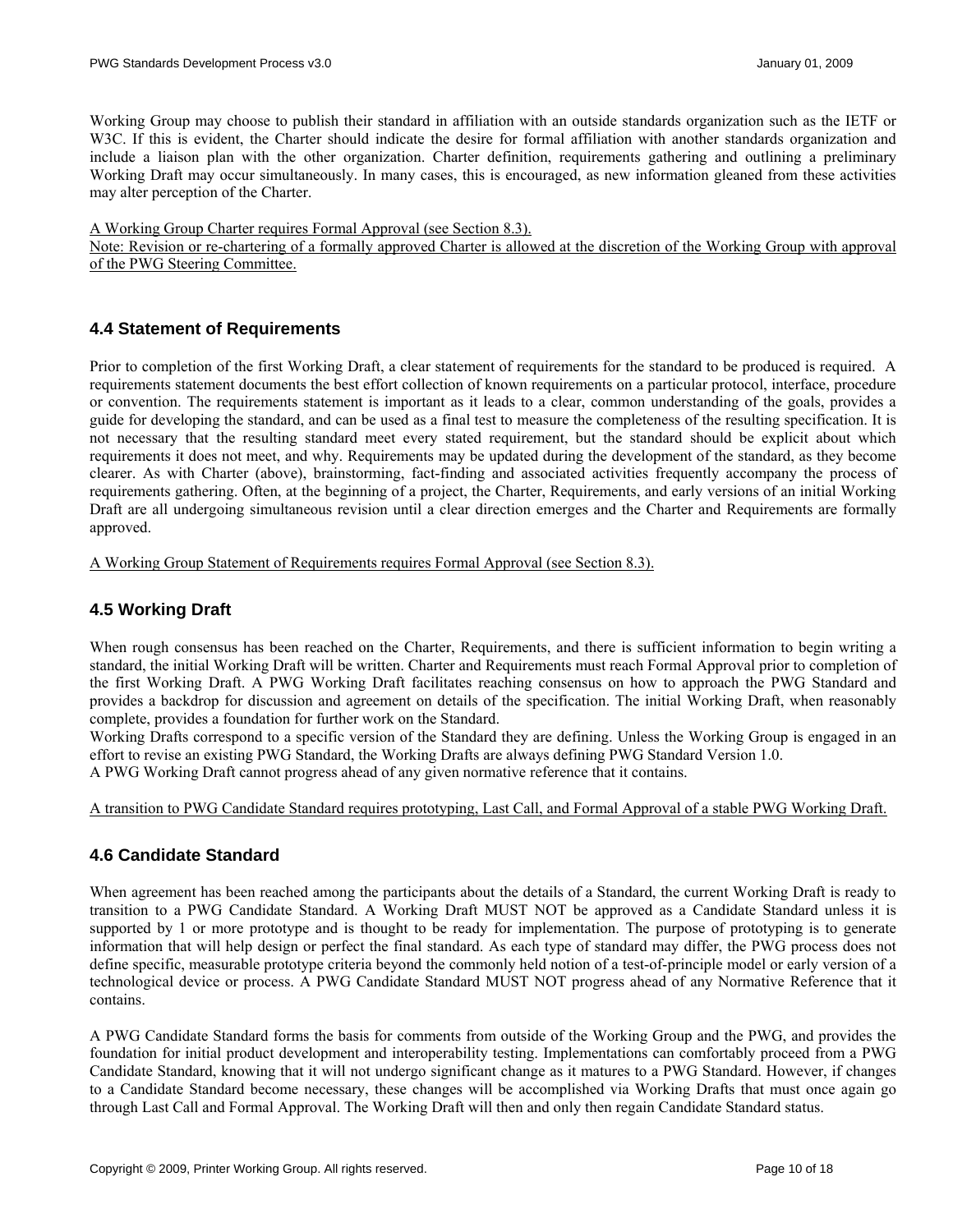<span id="page-9-0"></span>Working Group may choose to publish their standard in affiliation with an outside standards organization such as the IETF or W<sub>3C</sub>. If this is evident, the Charter should indicate the desire for formal affiliation with another standards organization and include a liaison plan with the other organization. Charter definition, requirements gathering and outlining a preliminary Working Draft may occur simultaneously. In many cases, this is encouraged, as new information gleaned from these activities may alter perception of the Charter.

#### A Working Group Charter requires Formal Approval (see Section [8.3\)](#page-12-2).

Note: Revision or re-chartering of a formally approved Charter is allowed at the discretion of the Working Group with approval of the PWG Steering Committee.

#### **4.4 Statement of Requirements**

Prior to completion of the first Working Draft, a clear statement of requirements for the standard to be produced is required. A requirements statement documents the best effort collection of known requirements on a particular protocol, interface, procedure or convention. The requirements statement is important as it leads to a clear, common understanding of the goals, provides a guide for developing the standard, and can be used as a final test to measure the completeness of the resulting specification. It is not necessary that the resulting standard meet every stated requirement, but the standard should be explicit about which requirements it does not meet, and why. Requirements may be updated during the development of the standard, as they become clearer. As with Charter (above), brainstorming, fact-finding and associated activities frequently accompany the process of requirements gathering. Often, at the beginning of a project, the Charter, Requirements, and early versions of an initial Working Draft are all undergoing simultaneous revision until a clear direction emerges and the Charter and Requirements are formally approved.

A Working Group Statement of Requirements requires Formal Approval (see Section [8.3\)](#page-12-2).

# **4.5 Working Draft**

When rough consensus has been reached on the Charter, Requirements, and there is sufficient information to begin writing a standard, the initial Working Draft will be written. Charter and Requirements must reach Formal Approval prior to completion of the first Working Draft. A PWG Working Draft facilitates reaching consensus on how to approach the PWG Standard and provides a backdrop for discussion and agreement on details of the specification. The initial Working Draft, when reasonably complete, provides a foundation for further work on the Standard.

Working Drafts correspond to a specific version of the Standard they are defining. Unless the Working Group is engaged in an effort to revise an existing PWG Standard, the Working Drafts are always defining PWG Standard Version 1.0.

A PWG Working Draft cannot progress ahead of any given normative reference that it contains.

#### A transition to PWG Candidate Standard requires prototyping, Last Call, and Formal Approval of a stable PWG Working Draft.

#### **4.6 Candidate Standard**

When agreement has been reached among the participants about the details of a Standard, the current Working Draft is ready to transition to a PWG Candidate Standard. A Working Draft MUST NOT be approved as a Candidate Standard unless it is supported by 1 or more prototype and is thought to be ready for implementation. The purpose of prototyping is to generate information that will help design or perfect the final standard. As each type of standard may differ, the PWG process does not define specific, measurable prototype criteria beyond the commonly held notion of a test-of-principle model or early version of a technological device or process. A PWG Candidate Standard MUST NOT progress ahead of any Normative Reference that it contains.

A PWG Candidate Standard forms the basis for comments from outside of the Working Group and the PWG, and provides the foundation for initial product development and interoperability testing. Implementations can comfortably proceed from a PWG Candidate Standard, knowing that it will not undergo significant change as it matures to a PWG Standard. However, if changes to a Candidate Standard become necessary, these changes will be accomplished via Working Drafts that must once again go through Last Call and Formal Approval. The Working Draft will then and only then regain Candidate Standard status.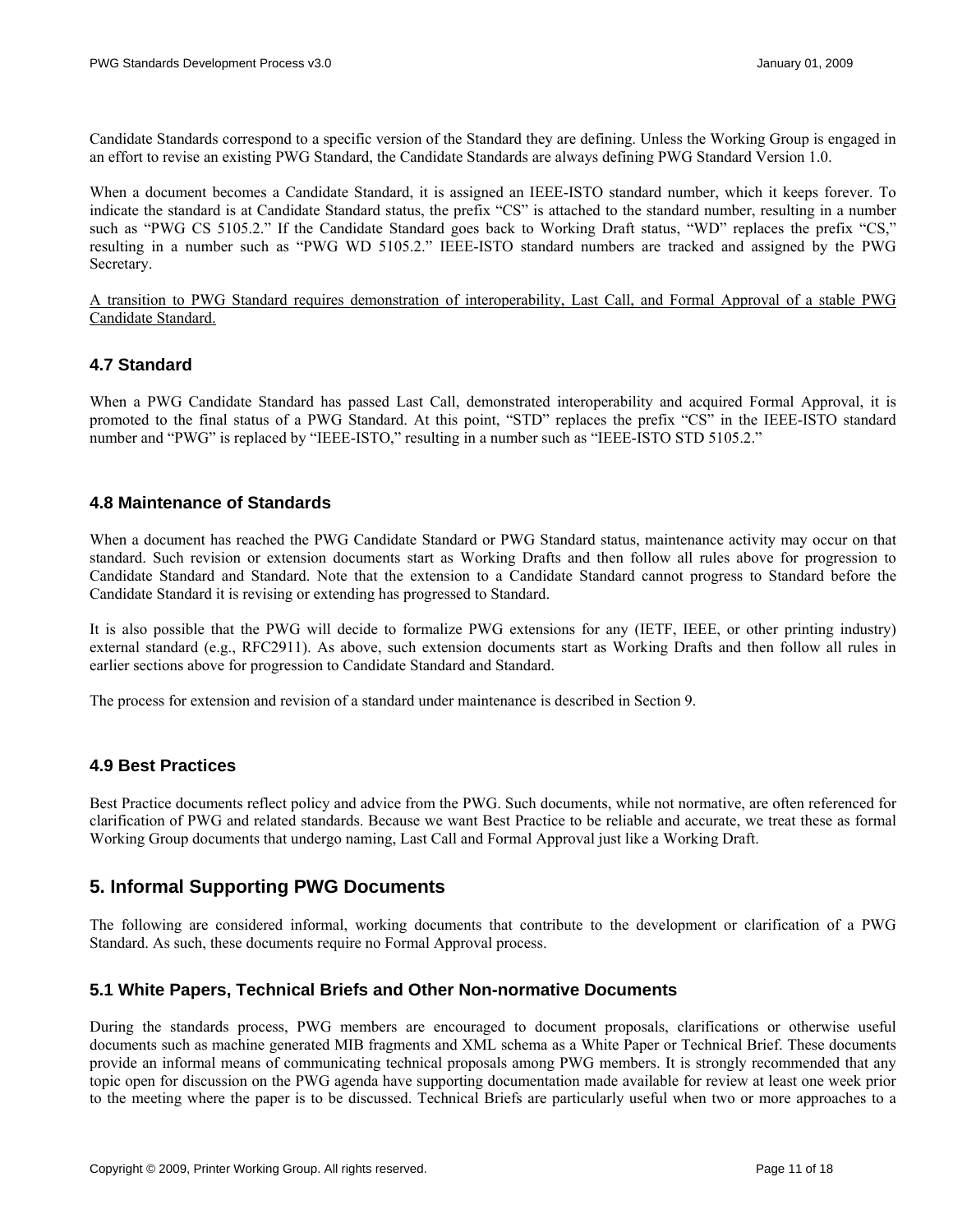<span id="page-10-0"></span>Candidate Standards correspond to a specific version of the Standard they are defining. Unless the Working Group is engaged in an effort to revise an existing PWG Standard, the Candidate Standards are always defining PWG Standard Version 1.0.

When a document becomes a Candidate Standard, it is assigned an IEEE-ISTO standard number, which it keeps forever. To indicate the standard is at Candidate Standard status, the prefix "CS" is attached to the standard number, resulting in a number such as "PWG CS 5105.2." If the Candidate Standard goes back to Working Draft status, "WD" replaces the prefix "CS," resulting in a number such as "PWG WD 5105.2." IEEE-ISTO standard numbers are tracked and assigned by the PWG Secretary.

A transition to PWG Standard requires demonstration of interoperability, Last Call, and Formal Approval of a stable PWG Candidate Standard.

#### **4.7 Standard**

When a PWG Candidate Standard has passed Last Call, demonstrated interoperability and acquired Formal Approval, it is promoted to the final status of a PWG Standard. At this point, "STD" replaces the prefix "CS" in the IEEE-ISTO standard number and "PWG" is replaced by "IEEE-ISTO," resulting in a number such as "IEEE-ISTO STD 5105.2."

#### **4.8 Maintenance of Standards**

When a document has reached the PWG Candidate Standard or PWG Standard status, maintenance activity may occur on that standard. Such revision or extension documents start as Working Drafts and then follow all rules above for progression to Candidate Standard and Standard. Note that the extension to a Candidate Standard cannot progress to Standard before the Candidate Standard it is revising or extending has progressed to Standard.

It is also possible that the PWG will decide to formalize PWG extensions for any (IETF, IEEE, or other printing industry) external standard (e.g., RFC2911). As above, such extension documents start as Working Drafts and then follow all rules in earlier sections above for progression to Candidate Standard and Standard.

The process for extension and revision of a standard under maintenance is described in Section [9.](#page-14-1)

#### **4.9 Best Practices**

Best Practice documents reflect policy and advice from the PWG. Such documents, while not normative, are often referenced for clarification of PWG and related standards. Because we want Best Practice to be reliable and accurate, we treat these as formal Working Group documents that undergo naming, Last Call and Formal Approval just like a Working Draft.

# <span id="page-10-1"></span>**5. Informal Supporting PWG Documents**

The following are considered informal, working documents that contribute to the development or clarification of a PWG Standard. As such, these documents require no Formal Approval process.

### **5.1 White Papers, Technical Briefs and Other Non-normative Documents**

During the standards process, PWG members are encouraged to document proposals, clarifications or otherwise useful documents such as machine generated MIB fragments and XML schema as a White Paper or Technical Brief. These documents provide an informal means of communicating technical proposals among PWG members. It is strongly recommended that any topic open for discussion on the PWG agenda have supporting documentation made available for review at least one week prior to the meeting where the paper is to be discussed. Technical Briefs are particularly useful when two or more approaches to a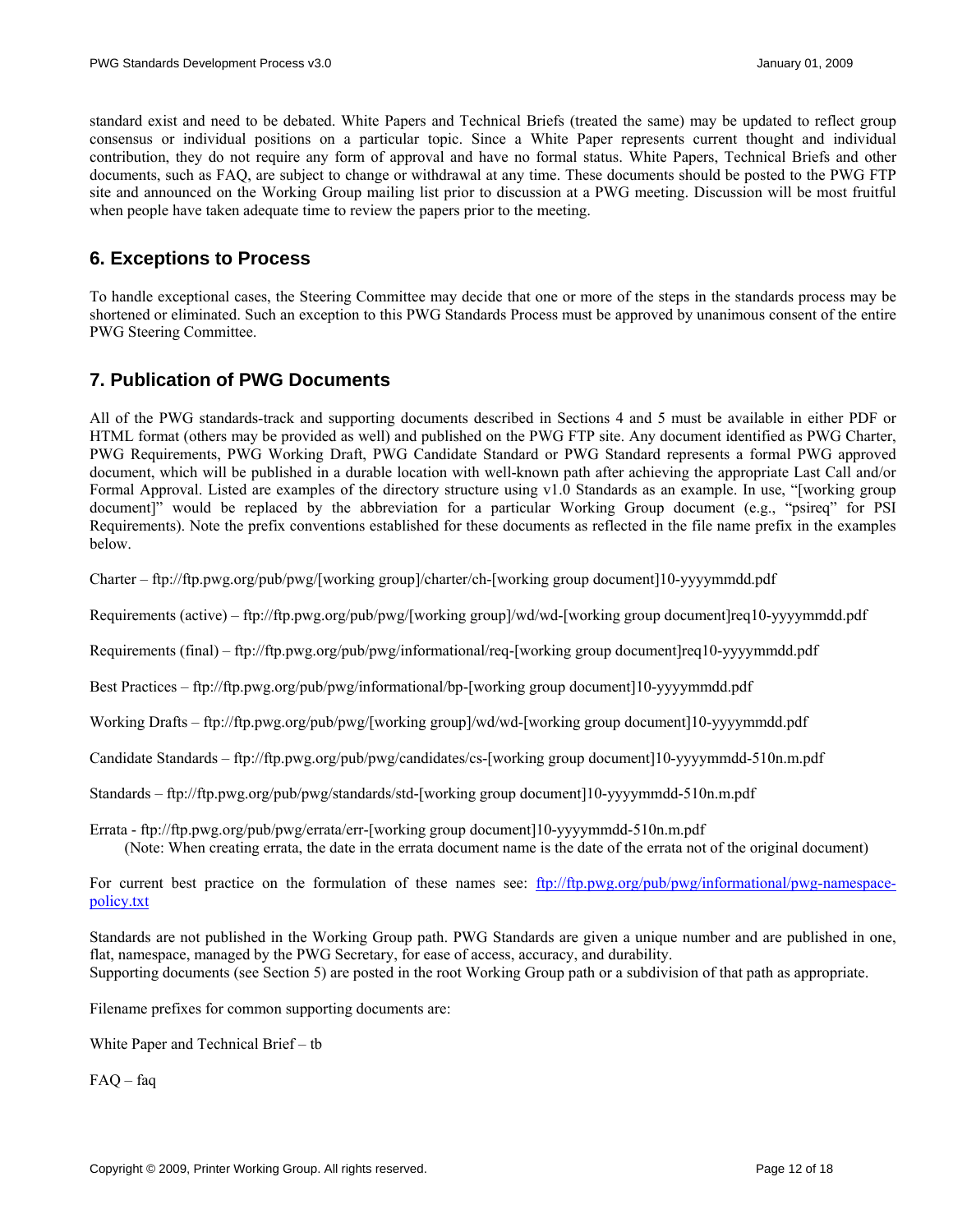<span id="page-11-0"></span>standard exist and need to be debated. White Papers and Technical Briefs (treated the same) may be updated to reflect group consensus or individual positions on a particular topic. Since a White Paper represents current thought and individual contribution, they do not require any form of approval and have no formal status. White Papers, Technical Briefs and other documents, such as FAQ, are subject to change or withdrawal at any time. These documents should be posted to the PWG FTP site and announced on the Working Group mailing list prior to discussion at a PWG meeting. Discussion will be most fruitful when people have taken adequate time to review the papers prior to the meeting.

# **6. Exceptions to Process**

To handle exceptional cases, the Steering Committee may decide that one or more of the steps in the standards process may be shortened or eliminated. Such an exception to this PWG Standards Process must be approved by unanimous consent of the entire PWG Steering Committee.

# <span id="page-11-1"></span>**7. Publication of PWG Documents**

All of the PWG standards-track and supporting documents described in Sections [4](#page-7-2) and [5](#page-10-1) must be available in either PDF or HTML format (others may be provided as well) and published on the PWG FTP site. Any document identified as PWG Charter, PWG Requirements, PWG Working Draft, PWG Candidate Standard or PWG Standard represents a formal PWG approved document, which will be published in a durable location with well-known path after achieving the appropriate Last Call and/or Formal Approval. Listed are examples of the directory structure using v1.0 Standards as an example. In use, "[working group document]" would be replaced by the abbreviation for a particular Working Group document (e.g., "psireq" for PSI Requirements). Note the prefix conventions established for these documents as reflected in the file name prefix in the examples below.

Charter – ftp://ftp.pwg.org/pub/pwg/[working group]/charter/ch-[working group document]10-yyyymmdd.pdf

Requirements (active) – ftp://ftp.pwg.org/pub/pwg/[working group]/wd/wd-[working group document]req10-yyyymmdd.pdf

Requirements (final) – ftp://ftp.pwg.org/pub/pwg/informational/req-[working group document]req10-yyyymmdd.pdf

Best Practices – ftp://ftp.pwg.org/pub/pwg/informational/bp-[working group document]10-yyyymmdd.pdf

Working Drafts – ftp://ftp.pwg.org/pub/pwg/[working group]/wd/wd-[working group document]10-yyyymmdd.pdf

Candidate Standards – ftp://ftp.pwg.org/pub/pwg/candidates/cs-[working group document]10-yyyymmdd-510n.m.pdf

Standards – ftp://ftp.pwg.org/pub/pwg/standards/std-[working group document]10-yyyymmdd-510n.m.pdf

Errata - ftp://ftp.pwg.org/pub/pwg/errata/err-[working group document]10-yyyymmdd-510n.m.pdf (Note: When creating errata, the date in the errata document name is the date of the errata not of the original document)

For current best practice on the formulation of these names see: [ftp://ftp.pwg.org/pub/pwg/informational/pwg-namespace](ftp://ftp.pwg.org/pub/pwg/informational/pwg-namespace-policy.txt)[policy.txt](ftp://ftp.pwg.org/pub/pwg/informational/pwg-namespace-policy.txt)

Standards are not published in the Working Group path. PWG Standards are given a unique number and are published in one, flat, namespace, managed by the PWG Secretary, for ease of access, accuracy, and durability. Supporting documents (see Section [5](#page-10-1)) are posted in the root Working Group path or a subdivision of that path as appropriate.

Filename prefixes for common supporting documents are:

White Paper and Technical Brief – tb

FAQ – faq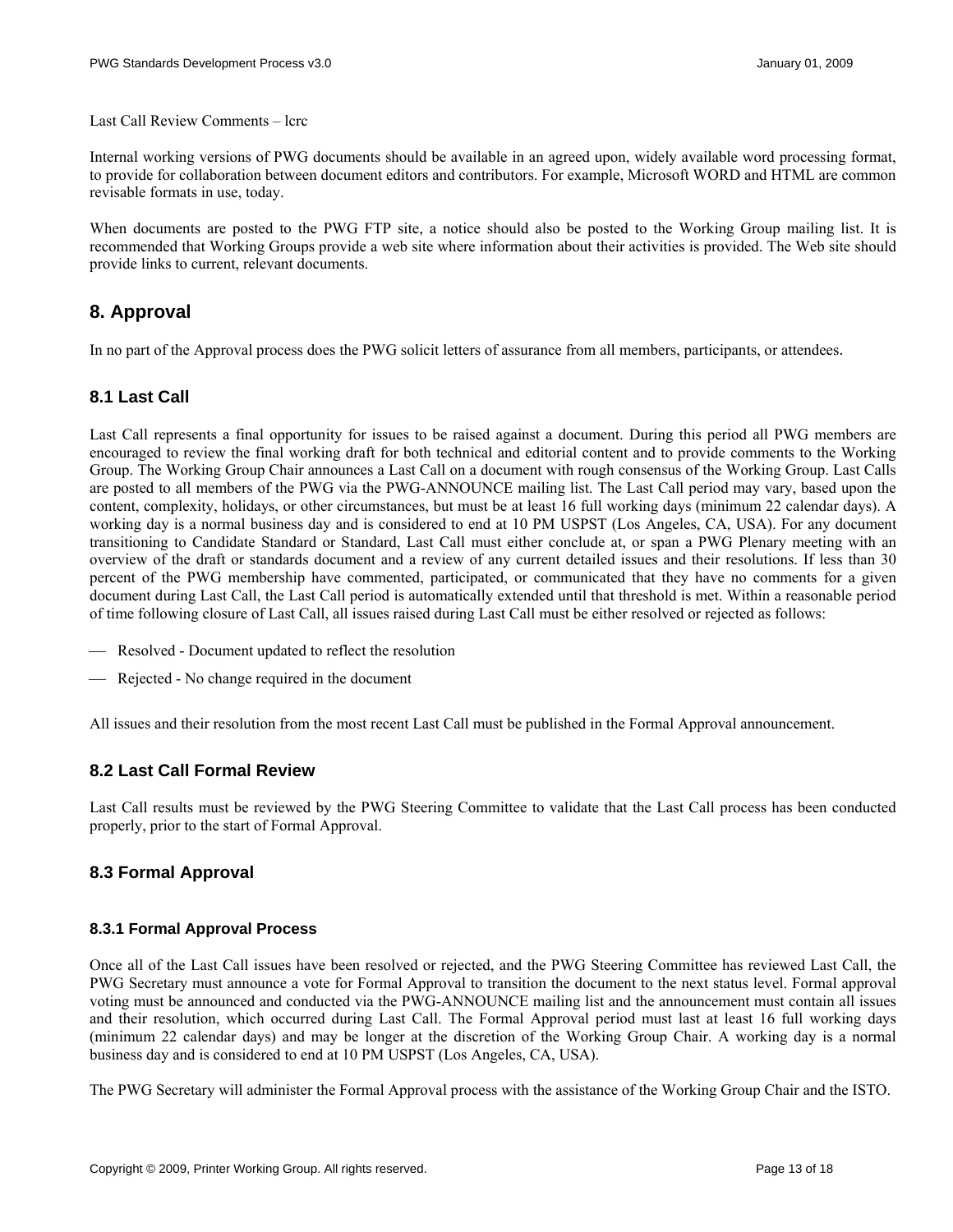<span id="page-12-0"></span>Last Call Review Comments – lcrc

Internal working versions of PWG documents should be available in an agreed upon, widely available word processing format, to provide for collaboration between document editors and contributors. For example, Microsoft WORD and HTML are common revisable formats in use, today.

When documents are posted to the PWG FTP site, a notice should also be posted to the Working Group mailing list. It is recommended that Working Groups provide a web site where information about their activities is provided. The Web site should provide links to current, relevant documents.

# <span id="page-12-1"></span>**8. Approval**

In no part of the Approval process does the PWG solicit letters of assurance from all members, participants, or attendees.

# **8.1 Last Call**

Last Call represents a final opportunity for issues to be raised against a document. During this period all PWG members are encouraged to review the final working draft for both technical and editorial content and to provide comments to the Working Group. The Working Group Chair announces a Last Call on a document with rough consensus of the Working Group. Last Calls are posted to all members of the PWG via the PWG-ANNOUNCE mailing list. The Last Call period may vary, based upon the content, complexity, holidays, or other circumstances, but must be at least 16 full working days (minimum 22 calendar days). A working day is a normal business day and is considered to end at 10 PM USPST (Los Angeles, CA, USA). For any document transitioning to Candidate Standard or Standard, Last Call must either conclude at, or span a PWG Plenary meeting with an overview of the draft or standards document and a review of any current detailed issues and their resolutions. If less than 30 percent of the PWG membership have commented, participated, or communicated that they have no comments for a given document during Last Call, the Last Call period is automatically extended until that threshold is met. Within a reasonable period of time following closure of Last Call, all issues raised during Last Call must be either resolved or rejected as follows:

- Resolved Document updated to reflect the resolution
- ⎯ Rejected No change required in the document

All issues and their resolution from the most recent Last Call must be published in the Formal Approval announcement.

#### **8.2 Last Call Formal Review**

Last Call results must be reviewed by the PWG Steering Committee to validate that the Last Call process has been conducted properly, prior to the start of Formal Approval.

# <span id="page-12-2"></span>**8.3 Formal Approval**

#### **8.3.1 Formal Approval Process**

Once all of the Last Call issues have been resolved or rejected, and the PWG Steering Committee has reviewed Last Call, the PWG Secretary must announce a vote for Formal Approval to transition the document to the next status level. Formal approval voting must be announced and conducted via the PWG-ANNOUNCE mailing list and the announcement must contain all issues and their resolution, which occurred during Last Call. The Formal Approval period must last at least 16 full working days (minimum 22 calendar days) and may be longer at the discretion of the Working Group Chair. A working day is a normal business day and is considered to end at 10 PM USPST (Los Angeles, CA, USA).

The PWG Secretary will administer the Formal Approval process with the assistance of the Working Group Chair and the ISTO.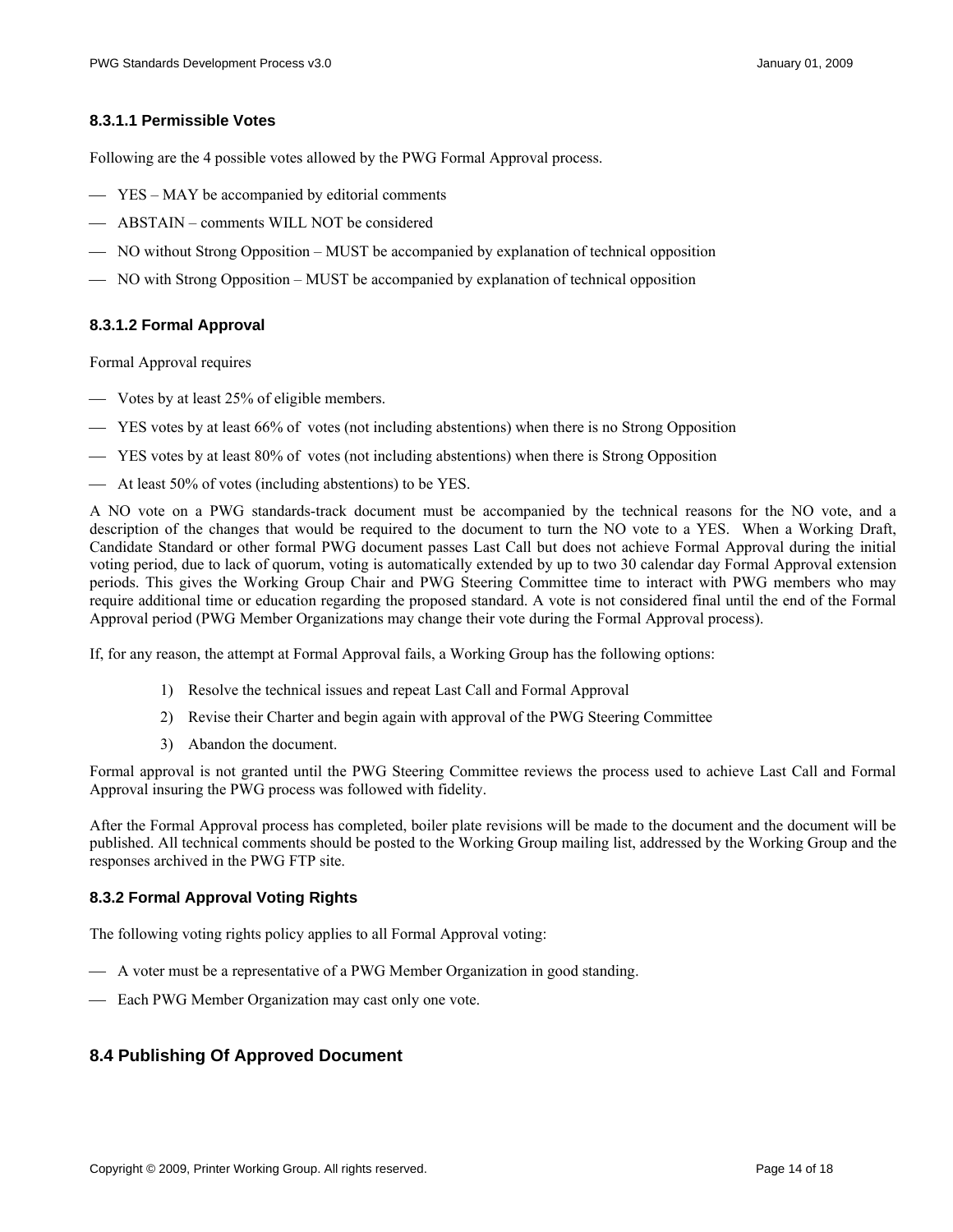#### <span id="page-13-0"></span>**8.3.1.1 Permissible Votes**

Following are the 4 possible votes allowed by the PWG Formal Approval process.

- YES MAY be accompanied by editorial comments
- ABSTAIN comments WILL NOT be considered
- ⎯ NO without Strong Opposition MUST be accompanied by explanation of technical opposition
- ⎯ NO with Strong Opposition MUST be accompanied by explanation of technical opposition

#### **8.3.1.2 Formal Approval**

Formal Approval requires

- Votes by at least 25% of eligible members.
- ⎯ YES votes by at least 66% of votes (not including abstentions) when there is no Strong Opposition
- ⎯ YES votes by at least 80% of votes (not including abstentions) when there is Strong Opposition
- ⎯ At least 50% of votes (including abstentions) to be YES.

A NO vote on a PWG standards-track document must be accompanied by the technical reasons for the NO vote, and a description of the changes that would be required to the document to turn the NO vote to a YES. When a Working Draft, Candidate Standard or other formal PWG document passes Last Call but does not achieve Formal Approval during the initial voting period, due to lack of quorum, voting is automatically extended by up to two 30 calendar day Formal Approval extension periods. This gives the Working Group Chair and PWG Steering Committee time to interact with PWG members who may require additional time or education regarding the proposed standard. A vote is not considered final until the end of the Formal Approval period (PWG Member Organizations may change their vote during the Formal Approval process).

If, for any reason, the attempt at Formal Approval fails, a Working Group has the following options:

- 1) Resolve the technical issues and repeat Last Call and Formal Approval
- 2) Revise their Charter and begin again with approval of the PWG Steering Committee
- 3) Abandon the document.

Formal approval is not granted until the PWG Steering Committee reviews the process used to achieve Last Call and Formal Approval insuring the PWG process was followed with fidelity.

After the Formal Approval process has completed, boiler plate revisions will be made to the document and the document will be published. All technical comments should be posted to the Working Group mailing list, addressed by the Working Group and the responses archived in the PWG FTP site.

#### **8.3.2 Formal Approval Voting Rights**

The following voting rights policy applies to all Formal Approval voting:

- $\overline{A}$  A voter must be a representative of a PWG Member Organization in good standing.
- Each PWG Member Organization may cast only one vote.

# **8.4 Publishing Of Approved Document**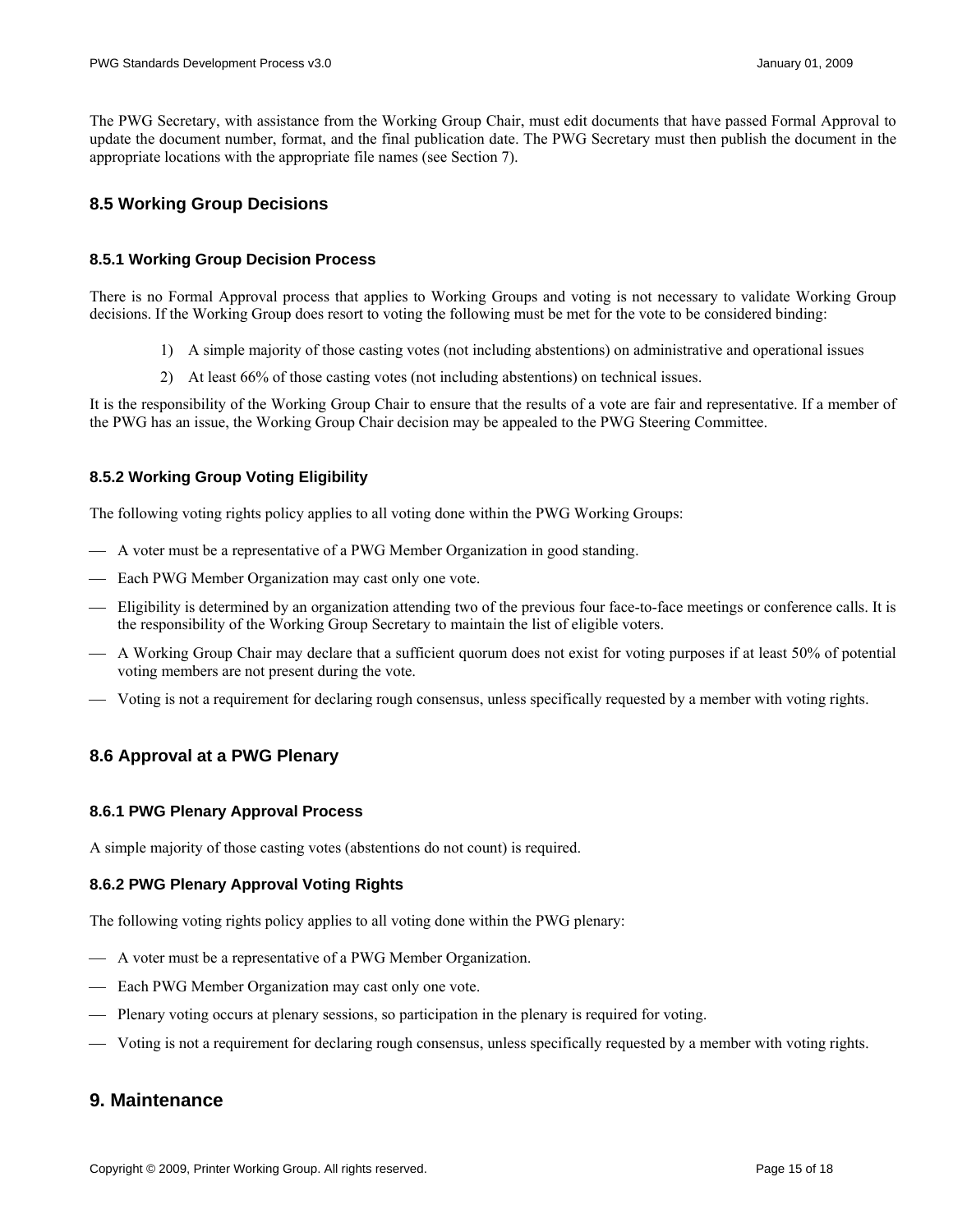<span id="page-14-0"></span>The PWG Secretary, with assistance from the Working Group Chair, must edit documents that have passed Formal Approval to update the document number, format, and the final publication date. The PWG Secretary must then publish the document in the appropriate locations with the appropriate file names (see Section [7](#page-11-1)).

# **8.5 Working Group Decisions**

#### **8.5.1 Working Group Decision Process**

There is no Formal Approval process that applies to Working Groups and voting is not necessary to validate Working Group decisions. If the Working Group does resort to voting the following must be met for the vote to be considered binding:

- 1) A simple majority of those casting votes (not including abstentions) on administrative and operational issues
- 2) At least 66% of those casting votes (not including abstentions) on technical issues.

It is the responsibility of the Working Group Chair to ensure that the results of a vote are fair and representative. If a member of the PWG has an issue, the Working Group Chair decision may be appealed to the PWG Steering Committee.

#### **8.5.2 Working Group Voting Eligibility**

The following voting rights policy applies to all voting done within the PWG Working Groups:

- $\overline{\phantom{a}}$  A voter must be a representative of a PWG Member Organization in good standing.
- $\equiv$  Each PWG Member Organization may cast only one vote.
- ⎯ Eligibility is determined by an organization attending two of the previous four face-to-face meetings or conference calls. It is the responsibility of the Working Group Secretary to maintain the list of eligible voters.
- ⎯ A Working Group Chair may declare that a sufficient quorum does not exist for voting purposes if at least 50% of potential voting members are not present during the vote.
- ⎯ Voting is not a requirement for declaring rough consensus, unless specifically requested by a member with voting rights.

# **8.6 Approval at a PWG Plenary**

#### **8.6.1 PWG Plenary Approval Process**

A simple majority of those casting votes (abstentions do not count) is required.

#### **8.6.2 PWG Plenary Approval Voting Rights**

The following voting rights policy applies to all voting done within the PWG plenary:

- $-$  A voter must be a representative of a PWG Member Organization.
- Each PWG Member Organization may cast only one vote.
- $\longrightarrow$  Plenary voting occurs at plenary sessions, so participation in the plenary is required for voting.
- ⎯ Voting is not a requirement for declaring rough consensus, unless specifically requested by a member with voting rights.

# <span id="page-14-1"></span>**9. Maintenance**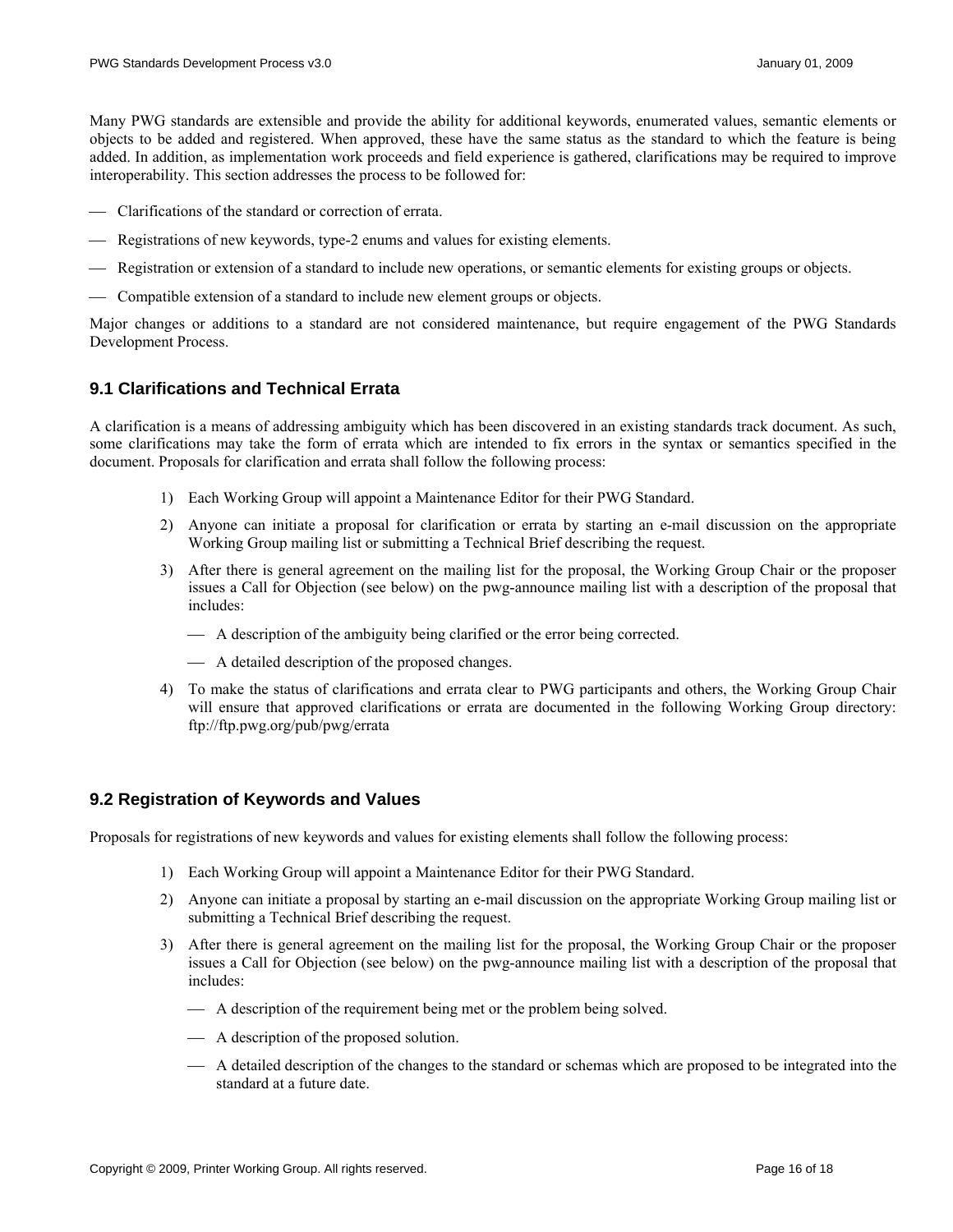<span id="page-15-0"></span>Many PWG standards are extensible and provide the ability for additional keywords, enumerated values, semantic elements or objects to be added and registered. When approved, these have the same status as the standard to which the feature is being added. In addition, as implementation work proceeds and field experience is gathered, clarifications may be required to improve interoperability. This section addresses the process to be followed for:

- ⎯ Clarifications of the standard or correction of errata.
- Registrations of new keywords, type-2 enums and values for existing elements.
- ⎯ Registration or extension of a standard to include new operations, or semantic elements for existing groups or objects.
- ⎯ Compatible extension of a standard to include new element groups or objects.

Major changes or additions to a standard are not considered maintenance, but require engagement of the PWG Standards Development Process.

#### **9.1 Clarifications and Technical Errata**

A clarification is a means of addressing ambiguity which has been discovered in an existing standards track document. As such, some clarifications may take the form of errata which are intended to fix errors in the syntax or semantics specified in the document. Proposals for clarification and errata shall follow the following process:

- 1) Each Working Group will appoint a Maintenance Editor for their PWG Standard.
- 2) Anyone can initiate a proposal for clarification or errata by starting an e-mail discussion on the appropriate Working Group mailing list or submitting a Technical Brief describing the request.
- 3) After there is general agreement on the mailing list for the proposal, the Working Group Chair or the proposer issues a Call for Objection (see below) on the pwg-announce mailing list with a description of the proposal that includes:
	- $-$  A description of the ambiguity being clarified or the error being corrected.
	- $\overline{\phantom{a}}$  A detailed description of the proposed changes.
- 4) To make the status of clarifications and errata clear to PWG participants and others, the Working Group Chair will ensure that approved clarifications or errata are documented in the following Working Group directory: ftp://ftp.pwg.org/pub/pwg/errata

#### **9.2 Registration of Keywords and Values**

Proposals for registrations of new keywords and values for existing elements shall follow the following process:

- 1) Each Working Group will appoint a Maintenance Editor for their PWG Standard.
- 2) Anyone can initiate a proposal by starting an e-mail discussion on the appropriate Working Group mailing list or submitting a Technical Brief describing the request.
- 3) After there is general agreement on the mailing list for the proposal, the Working Group Chair or the proposer issues a Call for Objection (see below) on the pwg-announce mailing list with a description of the proposal that includes:
	- $\overline{\phantom{a}}$  A description of the requirement being met or the problem being solved.
	- $\overline{\phantom{a}}$  A description of the proposed solution.
	- ⎯ A detailed description of the changes to the standard or schemas which are proposed to be integrated into the standard at a future date.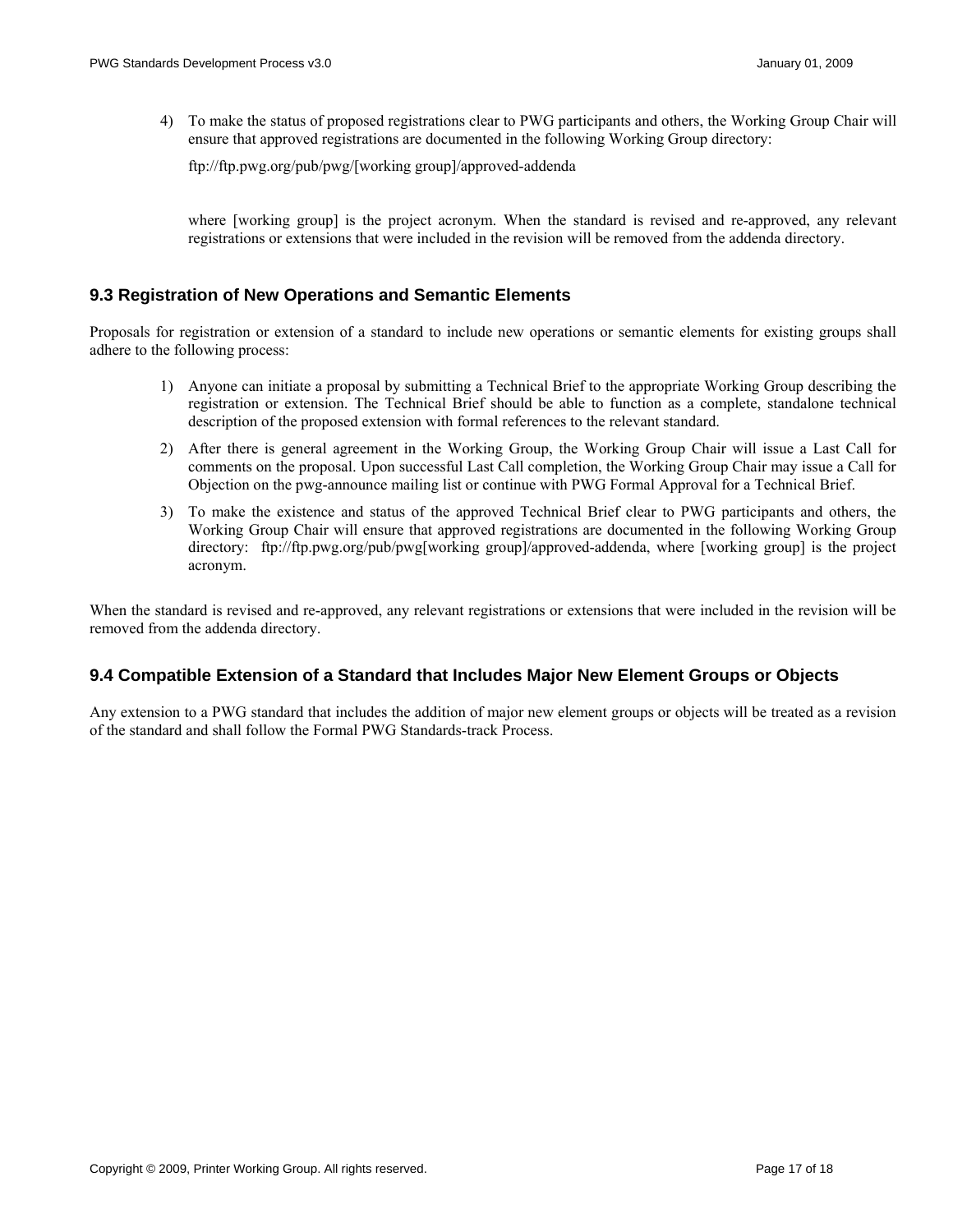<span id="page-16-0"></span>4) To make the status of proposed registrations clear to PWG participants and others, the Working Group Chair will ensure that approved registrations are documented in the following Working Group directory:

ftp://ftp.pwg.org/pub/pwg/[working group]/approved-addenda

where [working group] is the project acronym. When the standard is revised and re-approved, any relevant registrations or extensions that were included in the revision will be removed from the addenda directory.

#### **9.3 Registration of New Operations and Semantic Elements**

Proposals for registration or extension of a standard to include new operations or semantic elements for existing groups shall adhere to the following process:

- 1) Anyone can initiate a proposal by submitting a Technical Brief to the appropriate Working Group describing the registration or extension. The Technical Brief should be able to function as a complete, standalone technical description of the proposed extension with formal references to the relevant standard.
- 2) After there is general agreement in the Working Group, the Working Group Chair will issue a Last Call for comments on the proposal. Upon successful Last Call completion, the Working Group Chair may issue a Call for Objection on the pwg-announce mailing list or continue with PWG Formal Approval for a Technical Brief.
- 3) To make the existence and status of the approved Technical Brief clear to PWG participants and others, the Working Group Chair will ensure that approved registrations are documented in the following Working Group directory: ftp://ftp.pwg.org/pub/pwg[working group]/approved-addenda, where [working group] is the project acronym.

When the standard is revised and re-approved, any relevant registrations or extensions that were included in the revision will be removed from the addenda directory.

# **9.4 Compatible Extension of a Standard that Includes Major New Element Groups or Objects**

Any extension to a PWG standard that includes the addition of major new element groups or objects will be treated as a revision of the standard and shall follow the Formal PWG Standards-track Process.